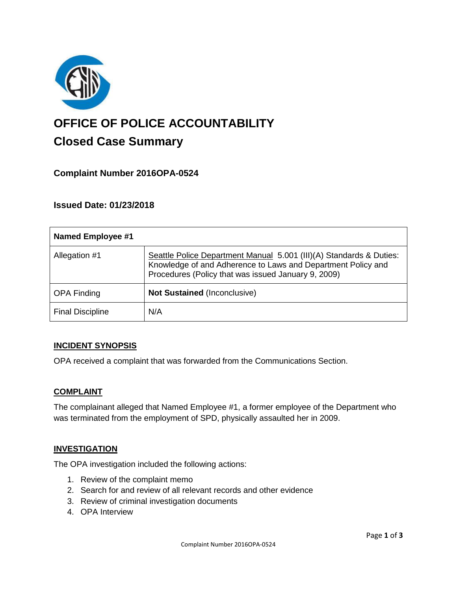

# **OFFICE OF POLICE ACCOUNTABILITY**

# **Closed Case Summary**

## **Complaint Number 2016OPA-0524**

## **Issued Date: 01/23/2018**

| <b>Named Employee #1</b> |                                                                                                                                                                                            |
|--------------------------|--------------------------------------------------------------------------------------------------------------------------------------------------------------------------------------------|
| Allegation #1            | Seattle Police Department Manual 5.001 (III)(A) Standards & Duties:<br>Knowledge of and Adherence to Laws and Department Policy and<br>Procedures (Policy that was issued January 9, 2009) |
| <b>OPA Finding</b>       | <b>Not Sustained (Inconclusive)</b>                                                                                                                                                        |
| <b>Final Discipline</b>  | N/A                                                                                                                                                                                        |

#### **INCIDENT SYNOPSIS**

OPA received a complaint that was forwarded from the Communications Section.

#### **COMPLAINT**

The complainant alleged that Named Employee #1, a former employee of the Department who was terminated from the employment of SPD, physically assaulted her in 2009.

#### **INVESTIGATION**

The OPA investigation included the following actions:

- 1. Review of the complaint memo
- 2. Search for and review of all relevant records and other evidence
- 3. Review of criminal investigation documents
- 4. OPA Interview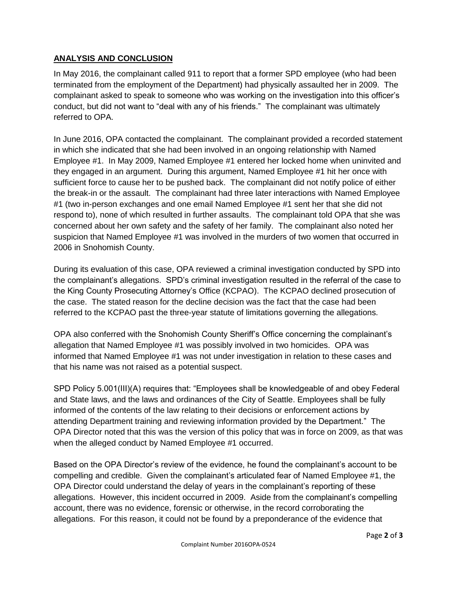#### **ANALYSIS AND CONCLUSION**

In May 2016, the complainant called 911 to report that a former SPD employee (who had been terminated from the employment of the Department) had physically assaulted her in 2009. The complainant asked to speak to someone who was working on the investigation into this officer's conduct, but did not want to "deal with any of his friends." The complainant was ultimately referred to OPA.

In June 2016, OPA contacted the complainant. The complainant provided a recorded statement in which she indicated that she had been involved in an ongoing relationship with Named Employee #1. In May 2009, Named Employee #1 entered her locked home when uninvited and they engaged in an argument. During this argument, Named Employee #1 hit her once with sufficient force to cause her to be pushed back. The complainant did not notify police of either the break-in or the assault. The complainant had three later interactions with Named Employee #1 (two in-person exchanges and one email Named Employee #1 sent her that she did not respond to), none of which resulted in further assaults. The complainant told OPA that she was concerned about her own safety and the safety of her family. The complainant also noted her suspicion that Named Employee #1 was involved in the murders of two women that occurred in 2006 in Snohomish County.

During its evaluation of this case, OPA reviewed a criminal investigation conducted by SPD into the complainant's allegations. SPD's criminal investigation resulted in the referral of the case to the King County Prosecuting Attorney's Office (KCPAO). The KCPAO declined prosecution of the case. The stated reason for the decline decision was the fact that the case had been referred to the KCPAO past the three-year statute of limitations governing the allegations.

OPA also conferred with the Snohomish County Sheriff's Office concerning the complainant's allegation that Named Employee #1 was possibly involved in two homicides. OPA was informed that Named Employee #1 was not under investigation in relation to these cases and that his name was not raised as a potential suspect.

SPD Policy 5.001(III)(A) requires that: "Employees shall be knowledgeable of and obey Federal and State laws, and the laws and ordinances of the City of Seattle. Employees shall be fully informed of the contents of the law relating to their decisions or enforcement actions by attending Department training and reviewing information provided by the Department." The OPA Director noted that this was the version of this policy that was in force on 2009, as that was when the alleged conduct by Named Employee #1 occurred.

Based on the OPA Director's review of the evidence, he found the complainant's account to be compelling and credible. Given the complainant's articulated fear of Named Employee #1, the OPA Director could understand the delay of years in the complainant's reporting of these allegations. However, this incident occurred in 2009. Aside from the complainant's compelling account, there was no evidence, forensic or otherwise, in the record corroborating the allegations. For this reason, it could not be found by a preponderance of the evidence that